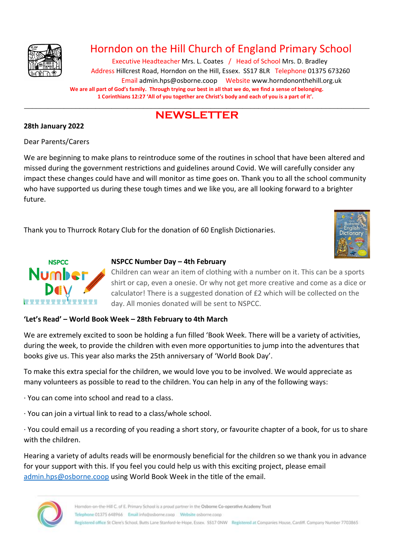

# Horndon on the Hill Church of England Primary School

Executive Headteacher Mrs. L. Coates / Head of School Mrs. D. Bradley Address Hillcrest Road, Horndon on the Hill, Essex. SS17 8LR Telephone 01375 673260 Email admin.hps@osborne.coop Websit[e www.horndononthehill.org.uk](http://www.horndononthehill.org.uk/) **We are all part of God's family. Through trying our best in all that we do, we find a sense of belonging. 1 Corinthians 12:27 'All of you together are Christ's body and each of you is a part of it'.**

# \_\_\_\_\_\_\_\_\_\_\_\_\_\_\_\_\_\_\_\_\_\_\_\_\_\_\_\_\_\_\_\_\_\_\_\_\_\_\_\_\_\_\_\_\_\_\_\_\_\_\_\_\_\_\_\_\_\_\_\_\_\_\_\_\_\_\_\_\_\_\_\_\_\_\_\_\_\_\_\_\_\_\_\_\_\_\_ **NEWSLETTER**

### **28th January 2022**

Dear Parents/Carers

We are beginning to make plans to reintroduce some of the routines in school that have been altered and missed during the government restrictions and guidelines around Covid. We will carefully consider any impact these changes could have and will monitor as time goes on. Thank you to all the school community who have supported us during these tough times and we like you, are all looking forward to a brighter future.

Thank you to Thurrock Rotary Club for the donation of 60 English Dictionaries.





# **NSPCC Number Day – 4th February**

Children can wear an item of clothing with a number on it. This can be a sports shirt or cap, even a onesie. Or why not get more creative and come as a dice or calculator! There is a suggested donation of £2 which will be collected on the day. All monies donated will be sent to NSPCC.

# **'Let's Read' – World Book Week – 28th February to 4th March**

We are extremely excited to soon be holding a fun filled 'Book Week. There will be a variety of activities, during the week, to provide the children with even more opportunities to jump into the adventures that books give us. This year also marks the 25th anniversary of 'World Book Day'.

To make this extra special for the children, we would love you to be involved. We would appreciate as many volunteers as possible to read to the children. You can help in any of the following ways:

· You can come into school and read to a class.

· You can join a virtual link to read to a class/whole school.

· You could email us a recording of you reading a short story, or favourite chapter of a book, for us to share with the children.

Hearing a variety of adults reads will be enormously beneficial for the children so we thank you in advance for your support with this. If you feel you could help us with this exciting project, please email [admin.hps@osborne.coop](mailto:admin.hps@osborne.coop) using World Book Week in the title of the email.

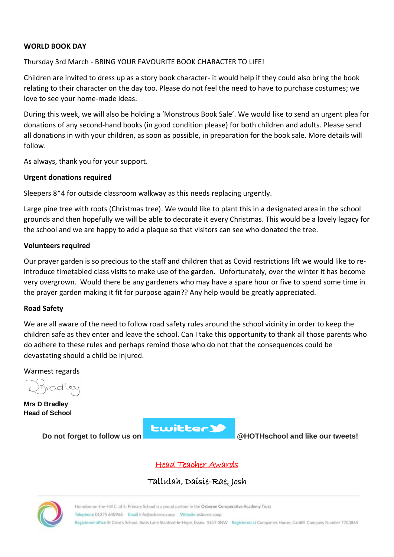### **WORLD BOOK DAY**

### Thursday 3rd March - BRING YOUR FAVOURITE BOOK CHARACTER TO LIFE!

Children are invited to dress up as a story book character- it would help if they could also bring the book relating to their character on the day too. Please do not feel the need to have to purchase costumes; we love to see your home-made ideas.

During this week, we will also be holding a 'Monstrous Book Sale'. We would like to send an urgent plea for donations of any second-hand books (in good condition please) for both children and adults. Please send all donations in with your children, as soon as possible, in preparation for the book sale. More details will follow.

As always, thank you for your support.

### **Urgent donations required**

Sleepers 8\*4 for outside classroom walkway as this needs replacing urgently.

Large pine tree with roots (Christmas tree). We would like to plant this in a designated area in the school grounds and then hopefully we will be able to decorate it every Christmas. This would be a lovely legacy for the school and we are happy to add a plaque so that visitors can see who donated the tree.

### **Volunteers required**

Our prayer garden is so precious to the staff and children that as Covid restrictions lift we would like to reintroduce timetabled class visits to make use of the garden. Unfortunately, over the winter it has become very overgrown. Would there be any gardeners who may have a spare hour or five to spend some time in the prayer garden making it fit for purpose again?? Any help would be greatly appreciated.

#### **Road Safety**

We are all aware of the need to follow road safety rules around the school vicinity in order to keep the children safe as they enter and leave the school. Can I take this opportunity to thank all those parents who do adhere to these rules and perhaps remind those who do not that the consequences could be devastating should a child be injured.

Warmest regards

radley

**Mrs D Bradley Head of School**



**Do not forget to follow us on @HOTHschool and like our tweets!**

Head Teacher Awards

Tallulah, Daisie-Rae, Josh

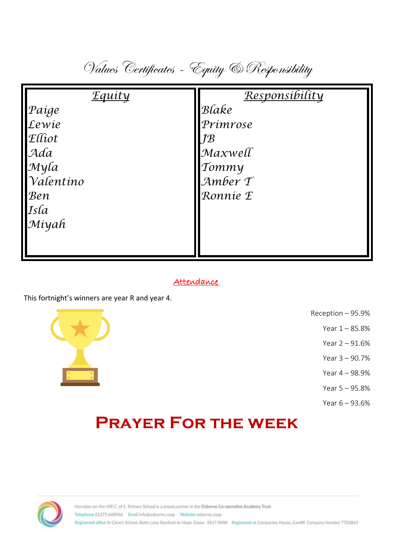Values Certificates – Equity & Responsibility

| <b>Equity</b>     | Responsibility            |
|-------------------|---------------------------|
| Paíge             | Blake                     |
| Lewie             | Prímrose                  |
| $\mathbf{E}$ liot | $\overline{I}\mathcal{B}$ |
| Ada               | Maxwell                   |
| Myla              | Tommy                     |
| Valentino         | $\mathcal{A}$ mber T      |
| Ben               | Ronnie E                  |
|                   |                           |
| Isla<br>Miyah     |                           |
|                   |                           |
|                   |                           |

# Attendance

This fortnight's winners are year R and year 4.



- Reception 95.9%
	- Year 1 85.8%
	- Year 2 91.6%
	- Year 3 90.7%
	- Year 4 98.9%
	- Year 5 95.8%
	- Year 6 93.6%

# **Prayer For the week**

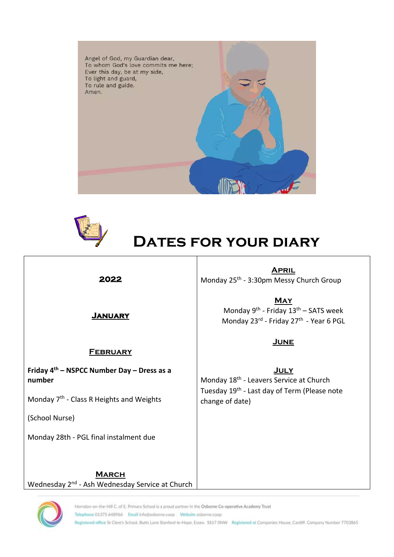



# **Dates for your diary**

**2022** 

**April** Monday 25<sup>th</sup> - 3:30pm Messy Church Group

**January** 

# **February**

**Friday 4th – NSPCC Number Day – Dress as a number**

Monday 7<sup>th</sup> - Class R Heights and Weights

(School Nurse)

Monday 28th - PGL final instalment due

**May** Monday 9<sup>th</sup> - Friday 13<sup>th</sup> – SATS week Monday 23rd - Friday 27<sup>th</sup> - Year 6 PGL

# **June**

**July** Monday 18<sup>th</sup> - Leavers Service at Church Tuesday 19<sup>th</sup> - Last day of Term (Please note change of date)

**March** Wednesday 2<sup>nd</sup> - Ash Wednesday Service at Church



Horndon-on-the-Hill C. of E. Primary School is a proud partner in the Osborne Co-operative Academy Trust

Telephone 01375 648966 Email info@osborne.coop Website osborne.coop

Registered office St Clere's School, Butts Lane Stanford-le-Hope, Essex. SS17 ONW Registered at Companies House, Cardiff. Company Number 7703865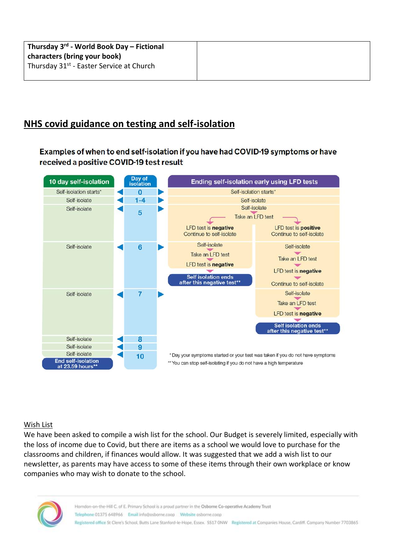# **NHS covid guidance on testing and self-isolation**

Examples of when to end self-isolation if you have had COVID-19 symptoms or have received a positive COVID-19 test result



# Wish List

We have been asked to compile a wish list for the school. Our Budget is severely limited, especially with the loss of income due to Covid, but there are items as a school we would love to purchase for the classrooms and children, if finances would allow. It was suggested that we add a wish list to our newsletter, as parents may have access to some of these items through their own workplace or know companies who may wish to donate to the school.

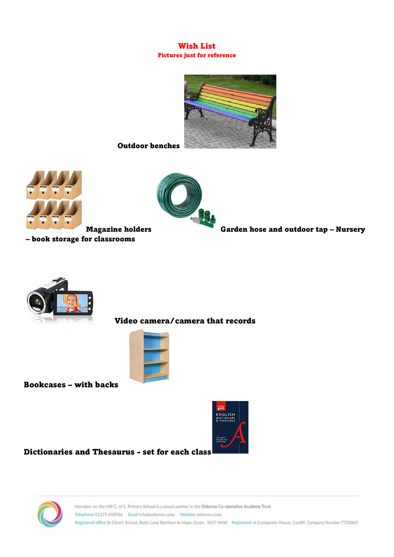### Wish List Pictures just for reference



Outdoor benches



– book storage for classrooms



Magazine holders Garden hose and outdoor tap – Nursery



# Video camera/camera that records



Bookcases – with backs



Dictionaries and Thesaurus - set for each class

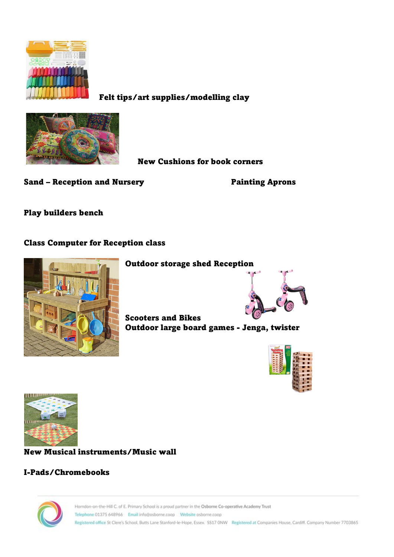

Felt tips/art supplies/modelling clay



New Cushions for book corners

Sand – Reception and Nursery **Painting Aprons** 

Play builders bench

# Class Computer for Reception class



Outdoor storage shed Reception



Scooters and Bikes Outdoor large board games - Jenga, twister





New Musical instruments/Music wall

# I-Pads/Chromebooks